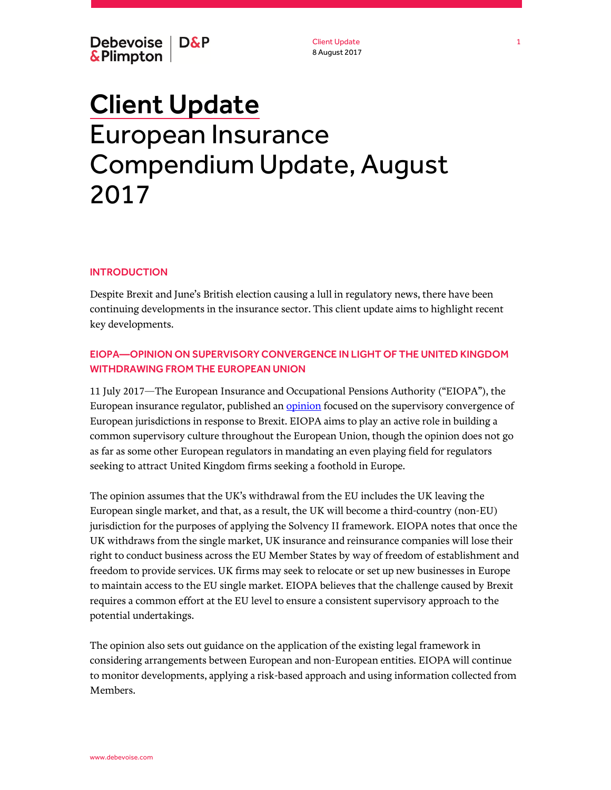Client Update 8 August 2017

# Client Update European Insurance Compendium Update, August 2017

#### **INTRODUCTION**

Despite Brexit and June's British election causing a lull in regulatory news, there have been continuing developments in the insurance sector. This client update aims to highlight recent key developments.

# EIOPA—OPINION ON SUPERVISORY CONVERGENCE IN LIGHT OF THE UNITED KINGDOM WITHDRAWING FROM THE EUROPEAN UNION

11 July 2017—The European Insurance and Occupational Pensions Authority ("EIOPA"), the European insurance regulator, published an [opinion](https://eiopa.europa.eu/Publications/Opinions/EIOPA-BOS-17-141%20Opinion_Supervisory_Convergence.pdf) focused on the supervisory convergence of European jurisdictions in response to Brexit. EIOPA aims to play an active role in building a common supervisory culture throughout the European Union, though the opinion does not go as far as some other European regulators in mandating an even playing field for regulators seeking to attract United Kingdom firms seeking a foothold in Europe.

The opinion assumes that the UK's withdrawal from the EU includes the UK leaving the European single market, and that, as a result, the UK will become a third-country (non-EU) jurisdiction for the purposes of applying the Solvency II framework. EIOPA notes that once the UK withdraws from the single market, UK insurance and reinsurance companies will lose their right to conduct business across the EU Member States by way of freedom of establishment and freedom to provide services. UK firms may seek to relocate or set up new businesses in Europe to maintain access to the EU single market. EIOPA believes that the challenge caused by Brexit requires a common effort at the EU level to ensure a consistent supervisory approach to the potential undertakings.

The opinion also sets out guidance on the application of the existing legal framework in considering arrangements between European and non-European entities. EIOPA will continue to monitor developments, applying a risk-based approach and using information collected from Members.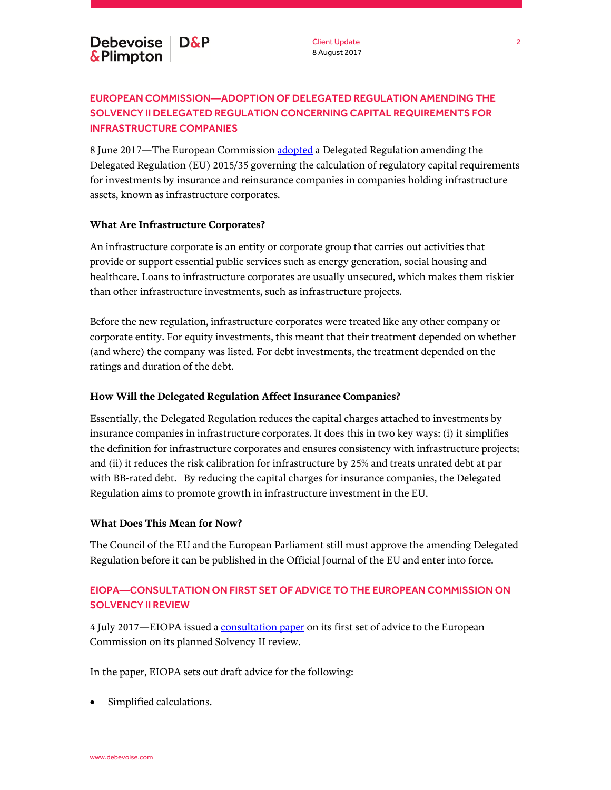# EUROPEAN COMMISSION—ADOPTION OF DELEGATED REGULATION AMENDING THE SOLVENCY II DELEGATED REGULATION CONCERNING CAPITAL REQUIREMENTS FOR INFRASTRUCTURE COMPANIES

8 June 2017—The European Commission [adopted](https://ec.europa.eu/info/publications/solvency2-delegated-regulation-2017-3673_enhttps:/ec.europa.eu/info/publications/solvency2-delegated-regulation-2017-3673_en) a Delegated Regulation amending the Delegated Regulation (EU) 2015/35 governing the calculation of regulatory capital requirements for investments by insurance and reinsurance companies in companies holding infrastructure assets, known as infrastructure corporates.

## **What Are Infrastructure Corporates?**

An infrastructure corporate is an entity or corporate group that carries out activities that provide or support essential public services such as energy generation, social housing and healthcare. Loans to infrastructure corporates are usually unsecured, which makes them riskier than other infrastructure investments, such as infrastructure projects.

Before the new regulation, infrastructure corporates were treated like any other company or corporate entity. For equity investments, this meant that their treatment depended on whether (and where) the company was listed. For debt investments, the treatment depended on the ratings and duration of the debt.

### **How Will the Delegated Regulation Affect Insurance Companies?**

Essentially, the Delegated Regulation reduces the capital charges attached to investments by insurance companies in infrastructure corporates. It does this in two key ways: (i) it simplifies the definition for infrastructure corporates and ensures consistency with infrastructure projects; and (ii) it reduces the risk calibration for infrastructure by 25% and treats unrated debt at par with BB-rated debt. By reducing the capital charges for insurance companies, the Delegated Regulation aims to promote growth in infrastructure investment in the EU.

## **What Does This Mean for Now?**

The Council of the EU and the European Parliament still must approve the amending Delegated Regulation before it can be published in the Official Journal of the EU and enter into force.

# EIOPA—CONSULTATION ON FIRST SET OF ADVICE TO THE EUROPEAN COMMISSION ON SOLVENCY II REVIEW

4 July 2017—EIOPA issued [a consultation paper](https://eiopa.europa.eu/Pages/Consultations/EIOPA-CP-17-004-Consultation-Paper.aspx) on its first set of advice to the European Commission on its planned Solvency II review.

In the paper, EIOPA sets out draft advice for the following:

Simplified calculations.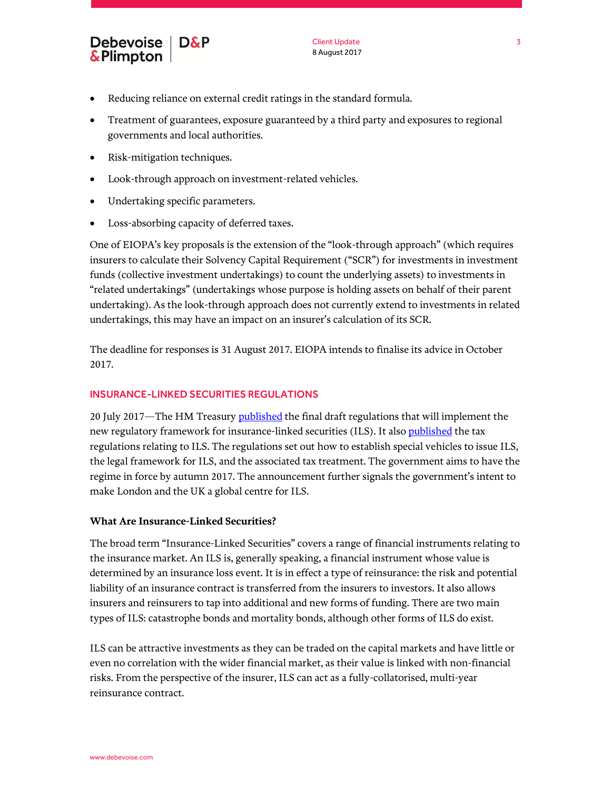- Reducing reliance on external credit ratings in the standard formula.
- Treatment of guarantees, exposure guaranteed by a third party and exposures to regional governments and local authorities.
- Risk-mitigation techniques.
- Look-through approach on investment-related vehicles.
- Undertaking specific parameters.
- Loss-absorbing capacity of deferred taxes.

One of EIOPA's key proposals is the extension of the "look-through approach" (which requires insurers to calculate their Solvency Capital Requirement ("SCR") for investments in investment funds (collective investment undertakings) to count the underlying assets) to investments in "related undertakings" (undertakings whose purpose is holding assets on behalf of their parent undertaking). As the look-through approach does not currently extend to investments in related undertakings, this may have an impact on an insurer's calculation of its SCR.

The deadline for responses is 31 August 2017. EIOPA intends to finalise its advice in October 2017.

### INSURANCE-LINKED SECURITIES REGULATIONS

20 July 2017—The HM Treasury **published** the final draft regulations that will implement the new regulatory framework for insurance-linked securities (ILS). It als[o published](https://www.gov.uk/government/uploads/system/uploads/attachment_data/file/630705/Risk_Transformation__Tax__Regulations_2017.pdf) the tax regulations relating to ILS. The regulations set out how to establish special vehicles to issue ILS, the legal framework for ILS, and the associated tax treatment. The government aims to have the regime in force by autumn 2017. The announcement further signals the government's intent to make London and the UK a global centre for ILS.

## **What Are Insurance-Linked Securities?**

The broad term "Insurance-Linked Securities" covers a range of financial instruments relating to the insurance market. An ILS is, generally speaking, a financial instrument whose value is determined by an insurance loss event. It is in effect a type of reinsurance: the risk and potential liability of an insurance contract is transferred from the insurers to investors. It also allows insurers and reinsurers to tap into additional and new forms of funding. There are two main types of ILS: catastrophe bonds and mortality bonds, although other forms of ILS do exist.

ILS can be attractive investments as they can be traded on the capital markets and have little or even no correlation with the wider financial market, as their value is linked with non-financial risks. From the perspective of the insurer, ILS can act as a fully-collatorised, multi-year reinsurance contract.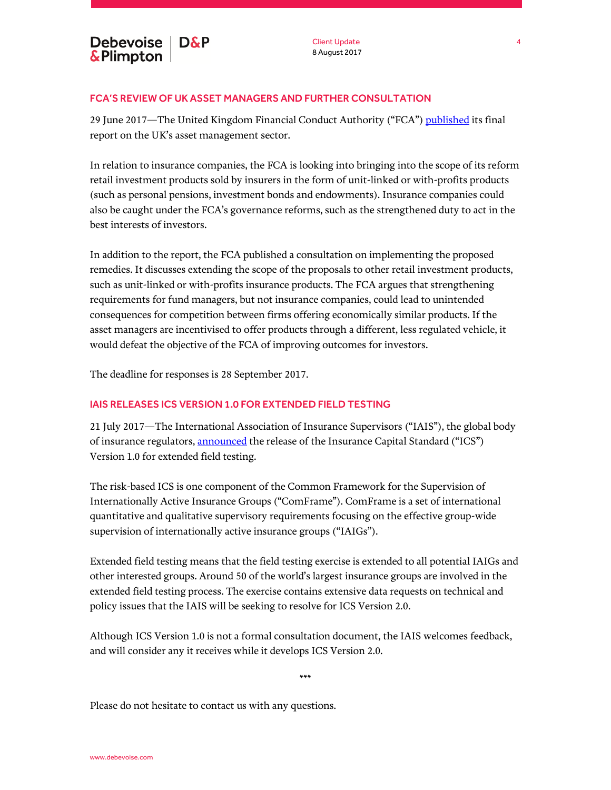## FCA'S REVIEW OF UK ASSET MANAGERS AND FURTHER CONSULTATION

29 June 2017—The United Kingdom Financial Conduct Authority ("FCA"[\) published](https://www.fca.org.uk/publications/market-studies/asset-management-market-study) its final report on the UK's asset management sector.

In relation to insurance companies, the FCA is looking into bringing into the scope of its reform retail investment products sold by insurers in the form of unit-linked or with-profits products (such as personal pensions, investment bonds and endowments). Insurance companies could also be caught under the FCA's governance reforms, such as the strengthened duty to act in the best interests of investors.

In addition to the report, the FCA published a consultation on implementing the proposed remedies. It discusses extending the scope of the proposals to other retail investment products, such as unit-linked or with-profits insurance products. The FCA argues that strengthening requirements for fund managers, but not insurance companies, could lead to unintended consequences for competition between firms offering economically similar products. If the asset managers are incentivised to offer products through a different, less regulated vehicle, it would defeat the objective of the FCA of improving outcomes for investors.

The deadline for responses is 28 September 2017.

## IAIS RELEASES ICS VERSION 1.0 FOR EXTENDED FIELD TESTING

21 July 2017—The International Association of Insurance Supervisors ("IAIS"), the global body of insurance regulators, [announced](https://www.iaisweb.org/page/supervisory-material/insurance-capital-standard) the release of the Insurance Capital Standard ("ICS") Version 1.0 for extended field testing.

The risk-based ICS is one component of the Common Framework for the Supervision of Internationally Active Insurance Groups ("ComFrame"). ComFrame is a set of international quantitative and qualitative supervisory requirements focusing on the effective group-wide supervision of internationally active insurance groups ("IAIGs").

Extended field testing means that the field testing exercise is extended to all potential IAIGs and other interested groups. Around 50 of the world's largest insurance groups are involved in the extended field testing process. The exercise contains extensive data requests on technical and policy issues that the IAIS will be seeking to resolve for ICS Version 2.0.

Although ICS Version 1.0 is not a formal consultation document, the IAIS welcomes feedback, and will consider any it receives while it develops ICS Version 2.0.

\*\*\*

Please do not hesitate to contact us with any questions.